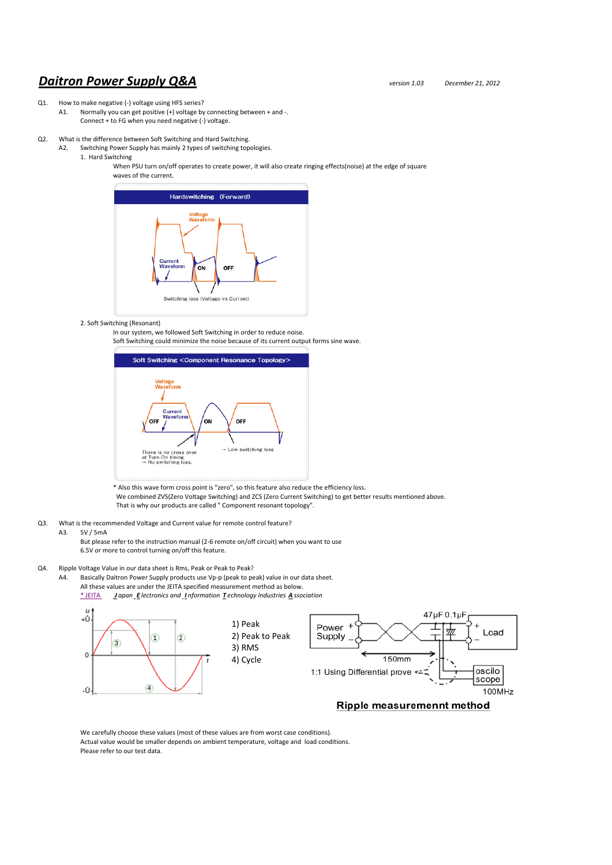# *Daitron Power Supply Q&A version 1.03 December 21, <sup>2012</sup>*

## Q1. How to make negative (-) voltage using HFS series?

- A1. Normally you can get positive (+) voltage by connecting between + and -. Connect + to FG when you need negative (‐) voltage.
- Q2. What is the difference between Soft Switching and Hard Switching.
	- A2. Switching Power Supply has mainly 2 types of switching topologies.
		- 1. Hard Switching

When PSU turn on/off operates to create power, it will also create ringing effects(noise) at the edge of square waves of the current.



## 2. Soft Switching (Resonant)

In our system, we followed Soft Switching in order to reduce noise.

Soft Switching could minimize the noise because of its current output forms sine wave.



\* Also this wave form cross point is "zero", so this feature also reduce the efficiency loss. We combined ZVS(Zero Voltage Switching) and ZCS (Zero Current Switching) to get better results mentioned above. That is why our products are called " Component resonant topology".

- Q3. What is the recommended Voltage and Current value for remote control feature?<br>A3 5V/5mA
- 5V / 5mA

But please refer to the instruction manual (2‐6 remote on/off circuit) when you want to use 6.5V or more to control turning on/off this feature.

- Q4. Ripple Voltage Value in our data sheet is Rms, Peak or Peak to Peak?
	- A4. Basically Daitron Power Supply products use Vp-p (peak to peak) value in our data sheet. All these values are under the JEITA specified measurement method as below. \* JEITA *J apan E lectronics and I nformation T echnology Industries A ssociation*



We carefully choose these values (most of these values are from worst case conditions). Actual value would be smaller depends on ambient temperature, voltage and load conditions. Please refer to our test data.